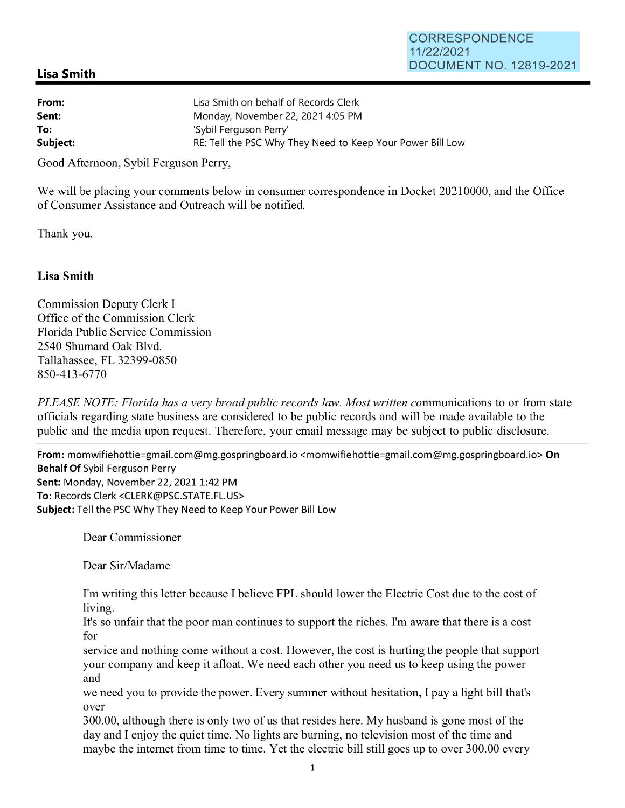## **Lisa Smith**

| From:    | Lisa Smith on behalf of Records Clerk                      |
|----------|------------------------------------------------------------|
| Sent:    | Monday, November 22, 2021 4:05 PM                          |
| To:      | 'Sybil Ferguson Perry'                                     |
| Subject: | RE: Tell the PSC Why They Need to Keep Your Power Bill Low |

Good Afternoon, Sybil Ferguson Perry,

We will be placing your comments below in consumer correspondence in Docket 20210000, and the Office of Consumer Assistance and Outreach will be notified.

Thank you.

## **Lisa Smith**

Commission Deputy Clerk I Office of the Commission Clerk Florida Public Service Commission 2540 Shumard Oak Blvd. Tallahassee, FL 32399-0850 850-413-6770

*PLEASE NOTE: Florida has a very broad public records law. Most written communications to or from state* officials regarding state business are considered to be public records and will be made available to the public and the media upon request. Therefore, your email message may be subject to public disclosure.

**From:** momwifiehottie=gmail.com@mg.gospringboard.io <momwifiehottie=gmail.com@mg.gospringboard.io> **On Behalf Of** Sybil Ferguson Perry **Sent: Monday, November 22, 2021 1:42 PM To:** Records Clerk <CLERK@PSC.STATE.FL.US> **Subject:** Tell the PSC Why They Need to Keep Your Power Bill Low

Dear Commissioner

Dear Sir/Madame

I'm writing this letter because I believe FPL should lower the Electric Cost due to the cost of living.

It's so unfair that the poor man continues to support the riches. I'm aware that there is a cost for

service and nothing come without a cost. However, the cost is hurting the people that support your company and keep it afloat. We need each other you need us to keep using the power and

we need you to provide the power. Every summer without hesitation, I pay a light bill that's over

300.00, although there is only two of us that resides here. My husband is gone most of the day and I enjoy the quiet time. No lights are burning, no television most of the time and maybe the internet from time to time. Yet the electric bill still goes up to over 300.00 every